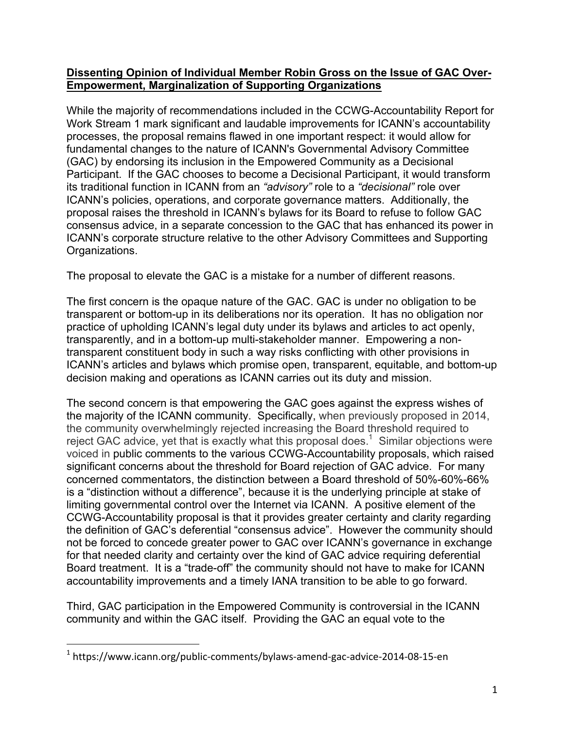## **Dissenting Opinion of Individual Member Robin Gross on the Issue of GAC Over-Empowerment, Marginalization of Supporting Organizations**

While the majority of recommendations included in the CCWG-Accountability Report for Work Stream 1 mark significant and laudable improvements for ICANN's accountability processes, the proposal remains flawed in one important respect: it would allow for fundamental changes to the nature of ICANN's Governmental Advisory Committee (GAC) by endorsing its inclusion in the Empowered Community as a Decisional Participant. If the GAC chooses to become a Decisional Participant, it would transform its traditional function in ICANN from an *"advisory"* role to a *"decisional"* role over ICANN's policies, operations, and corporate governance matters. Additionally, the proposal raises the threshold in ICANN's bylaws for its Board to refuse to follow GAC consensus advice, in a separate concession to the GAC that has enhanced its power in ICANN's corporate structure relative to the other Advisory Committees and Supporting Organizations.

The proposal to elevate the GAC is a mistake for a number of different reasons.

The first concern is the opaque nature of the GAC. GAC is under no obligation to be transparent or bottom-up in its deliberations nor its operation. It has no obligation nor practice of upholding ICANN's legal duty under its bylaws and articles to act openly, transparently, and in a bottom-up multi-stakeholder manner. Empowering a nontransparent constituent body in such a way risks conflicting with other provisions in ICANN's articles and bylaws which promise open, transparent, equitable, and bottom-up decision making and operations as ICANN carries out its duty and mission.

The second concern is that empowering the GAC goes against the express wishes of the majority of the ICANN community. Specifically, when previously proposed in 2014, the community overwhelmingly rejected increasing the Board threshold required to reject GAC advice, yet that is exactly what this proposal does.<sup>1</sup> Similar objections were voiced in public comments to the various CCWG-Accountability proposals, which raised significant concerns about the threshold for Board rejection of GAC advice. For many concerned commentators, the distinction between a Board threshold of 50%-60%-66% is a "distinction without a difference", because it is the underlying principle at stake of limiting governmental control over the Internet via ICANN. A positive element of the CCWG-Accountability proposal is that it provides greater certainty and clarity regarding the definition of GAC's deferential "consensus advice". However the community should not be forced to concede greater power to GAC over ICANN's governance in exchange for that needed clarity and certainty over the kind of GAC advice requiring deferential Board treatment. It is a "trade-off" the community should not have to make for ICANN accountability improvements and a timely IANA transition to be able to go forward.

Third, GAC participation in the Empowered Community is controversial in the ICANN community and within the GAC itself. Providing the GAC an equal vote to the

 

<sup>&</sup>lt;sup>1</sup> https://www.icann.org/public-comments/bylaws-amend-gac-advice-2014-08-15-en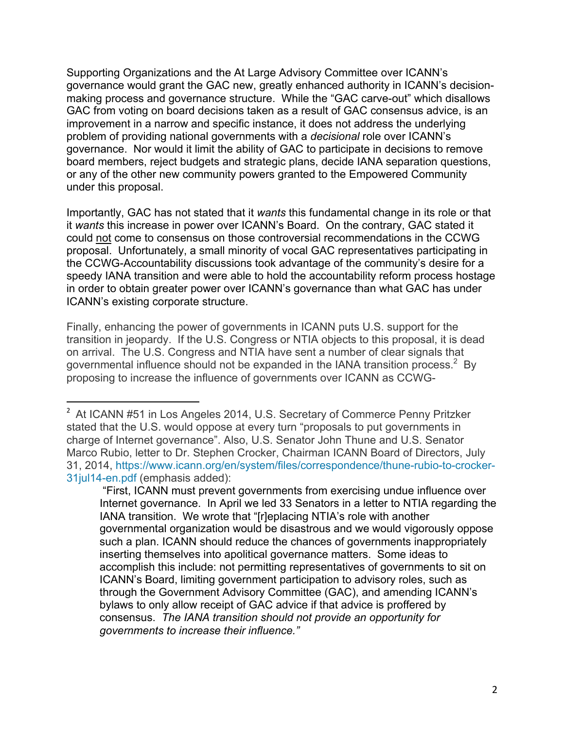Supporting Organizations and the At Large Advisory Committee over ICANN's governance would grant the GAC new, greatly enhanced authority in ICANN's decisionmaking process and governance structure. While the "GAC carve-out" which disallows GAC from voting on board decisions taken as a result of GAC consensus advice, is an improvement in a narrow and specific instance, it does not address the underlying problem of providing national governments with a *decisional* role over ICANN's governance. Nor would it limit the ability of GAC to participate in decisions to remove board members, reject budgets and strategic plans, decide IANA separation questions, or any of the other new community powers granted to the Empowered Community under this proposal.

Importantly, GAC has not stated that it *wants* this fundamental change in its role or that it *wants* this increase in power over ICANN's Board. On the contrary, GAC stated it could not come to consensus on those controversial recommendations in the CCWG proposal. Unfortunately, a small minority of vocal GAC representatives participating in the CCWG-Accountability discussions took advantage of the community's desire for a speedy IANA transition and were able to hold the accountability reform process hostage in order to obtain greater power over ICANN's governance than what GAC has under ICANN's existing corporate structure.

Finally, enhancing the power of governments in ICANN puts U.S. support for the transition in jeopardy. If the U.S. Congress or NTIA objects to this proposal, it is dead on arrival. The U.S. Congress and NTIA have sent a number of clear signals that governmental influence should not be expanded in the IANA transition process.<sup>2</sup> By proposing to increase the influence of governments over ICANN as CCWG-

 

<sup>&</sup>lt;sup>2</sup> At ICANN #51 in Los Angeles 2014, U.S. Secretary of Commerce Penny Pritzker stated that the U.S. would oppose at every turn "proposals to put governments in charge of Internet governance". Also, U.S. Senator John Thune and U.S. Senator Marco Rubio, letter to Dr. Stephen Crocker, Chairman ICANN Board of Directors, July 31, 2014, https://www.icann.org/en/system/files/correspondence/thune-rubio-to-crocker-31jul14-en.pdf (emphasis added):

<sup>&</sup>quot;First, ICANN must prevent governments from exercising undue influence over Internet governance. In April we led 33 Senators in a letter to NTIA regarding the IANA transition. We wrote that "[r]eplacing NTIA's role with another governmental organization would be disastrous and we would vigorously oppose such a plan. ICANN should reduce the chances of governments inappropriately inserting themselves into apolitical governance matters. Some ideas to accomplish this include: not permitting representatives of governments to sit on ICANN's Board, limiting government participation to advisory roles, such as through the Government Advisory Committee (GAC), and amending ICANN's bylaws to only allow receipt of GAC advice if that advice is proffered by consensus. *The IANA transition should not provide an opportunity for governments to increase their influence."*